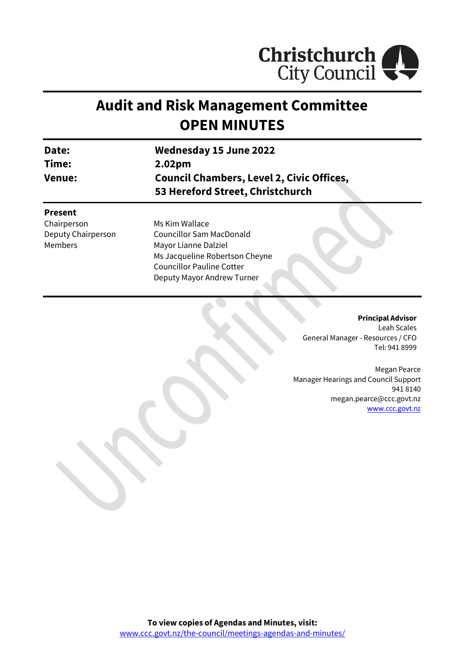

# **Audit and Risk Management Committee OPEN MINUTES**

| Date:              | <b>Wednesday 15 June 2022</b>                                                        |  |
|--------------------|--------------------------------------------------------------------------------------|--|
| Time:              | 2.02pm                                                                               |  |
| <b>Venue:</b>      | <b>Council Chambers, Level 2, Civic Offices,</b><br>53 Hereford Street, Christchurch |  |
| <b>Present</b>     |                                                                                      |  |
| Chairperson        | Ms Kim Wallace                                                                       |  |
| Deputy Chairperson | <b>Councillor Sam MacDonald</b>                                                      |  |
| <b>Members</b>     | Mayor Lianne Dalziel                                                                 |  |
|                    | Ms Jacqueline Robertson Cheyne                                                       |  |
|                    | <b>Councillor Pauline Cotter</b>                                                     |  |
|                    | Deputy Mayor Andrew Turner                                                           |  |

**Principal Advisor** Leah Scales General Manager - Resources / CFO Tel: 941 8999

Megan Pearce Manager Hearings and Council Support 941 8140 megan.pearce@ccc.govt.nz [www.ccc.govt.nz](http://www.ccc.govt.nz/)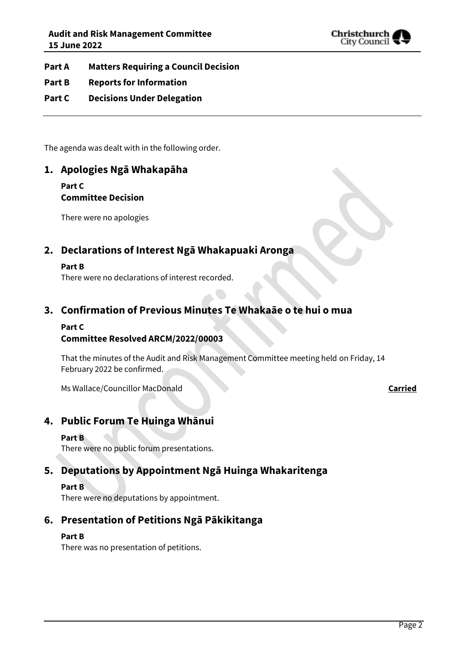

- **Part A Matters Requiring a Council Decision**
- **Part B Reports for Information**
- **Part C Decisions Under Delegation**

The agenda was dealt with in the following order.

## **1. Apologies Ngā Whakapāha**

**Part C Committee Decision**

There were no apologies

## **2. Declarations of Interest Ngā Whakapuaki Aronga**

#### **Part B**

There were no declarations of interest recorded.

### **3. Confirmation of Previous Minutes Te Whakaāe o te hui o mua**

#### **Part C**

#### **Committee Resolved ARCM/2022/00003**

That the minutes of the Audit and Risk Management Committee meeting held on Friday, 14 February 2022 be confirmed.

Ms Wallace/Councillor MacDonald **Carried**

### **4. Public Forum Te Huinga Whānui**

#### **Part B**

There were no public forum presentations.

## **5. Deputations by Appointment Ngā Huinga Whakaritenga**

#### **Part B**

There were no deputations by appointment.

## **6. Presentation of Petitions Ngā Pākikitanga**

#### **Part B**

There was no presentation of petitions.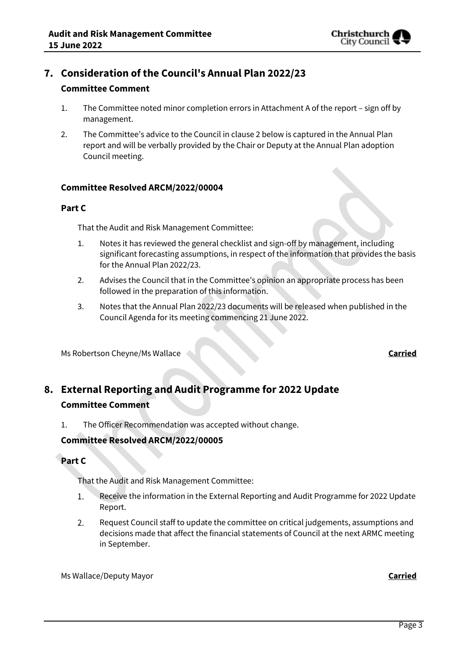## **7. Consideration of the Council's Annual Plan 2022/23**

#### **Committee Comment**

- 1. The Committee noted minor completion errors in Attachment A of the report sign off by management.
- 2. The Committee's advice to the Council in clause 2 below is captured in the Annual Plan report and will be verbally provided by the Chair or Deputy at the Annual Plan adoption Council meeting.

#### **Committee Resolved ARCM/2022/00004**

#### **Part C**

That the Audit and Risk Management Committee:

- 1. Notes it has reviewed the general checklist and sign-off by management, including significant forecasting assumptions, in respect of the information that provides the basis for the Annual Plan 2022/23.
- 2. Advises the Council that in the Committee's opinion an appropriate process has been followed in the preparation of this information.
- 3. Notes that the Annual Plan 2022/23 documents will be released when published in the Council Agenda for its meeting commencing 21 June 2022.

Ms Robertson Cheyne/Ms Wallace **Carried**

## **8. External Reporting and Audit Programme for 2022 Update Committee Comment**

1. The Officer Recommendation was accepted without change.

#### **Committee Resolved ARCM/2022/00005**

#### **Part C**

That the Audit and Risk Management Committee:

- 1. Receive the information in the External Reporting and Audit Programme for 2022 Update Report.
- $2.$ Request Council staff to update the committee on critical judgements, assumptions and decisions made that affect the financial statements of Council at the next ARMC meeting in September.

Ms Wallace/Deputy Mayor **Carried**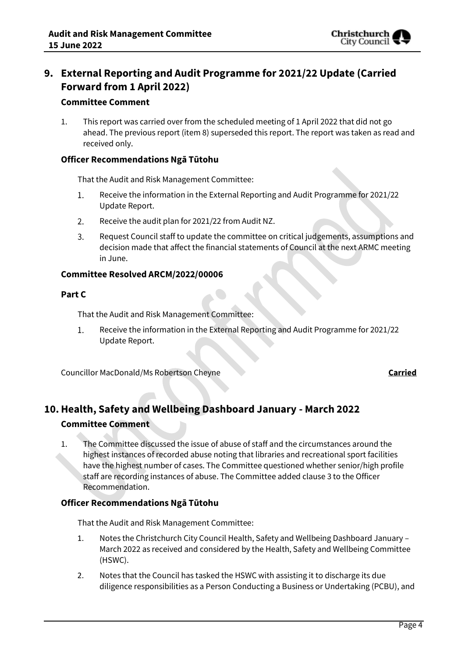

## **9. External Reporting and Audit Programme for 2021/22 Update (Carried Forward from 1 April 2022)**

#### **Committee Comment**

1. This report was carried over from the scheduled meeting of 1 April 2022 that did not go ahead. The previous report (item 8) superseded this report. The report was taken as read and received only.

#### **Officer Recommendations Ngā Tūtohu**

That the Audit and Risk Management Committee:

- Receive the information in the External Reporting and Audit Programme for 2021/22  $1.$ Update Report.
- $2.$ Receive the audit plan for 2021/22 from Audit NZ.
- $\overline{3}$ . Request Council staff to update the committee on critical judgements, assumptions and decision made that affect the financial statements of Council at the next ARMC meeting in June.

#### **Committee Resolved ARCM/2022/00006**

#### **Part C**

That the Audit and Risk Management Committee:

1. Receive the information in the External Reporting and Audit Programme for 2021/22 Update Report.

Councillor MacDonald/Ms Robertson Cheyne **Carried**

## **10.Health, Safety and Wellbeing Dashboard January - March 2022 Committee Comment**

1. The Committee discussed the issue of abuse of staff and the circumstances around the highest instances of recorded abuse noting that libraries and recreational sport facilities have the highest number of cases. The Committee questioned whether senior/high profile staff are recording instances of abuse. The Committee added clause 3 to the Officer Recommendation.

#### **Officer Recommendations Ngā Tūtohu**

That the Audit and Risk Management Committee:

- 1. Notes the Christchurch City Council Health, Safety and Wellbeing Dashboard January March 2022 as received and considered by the Health, Safety and Wellbeing Committee (HSWC).
- 2. Notes that the Council has tasked the HSWC with assisting it to discharge its due diligence responsibilities as a Person Conducting a Business or Undertaking (PCBU), and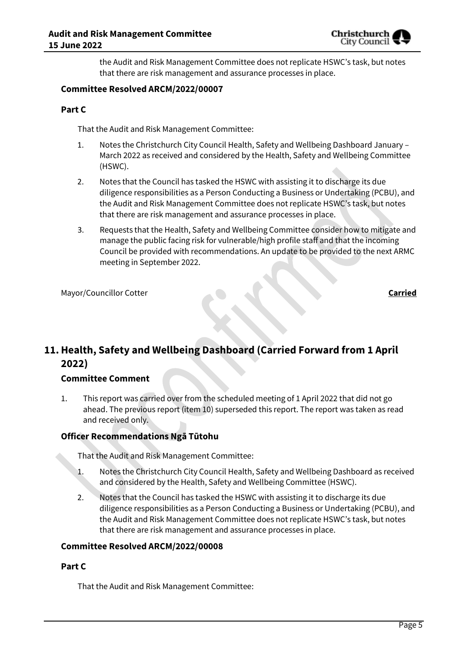

the Audit and Risk Management Committee does not replicate HSWC's task, but notes that there are risk management and assurance processes in place.

#### **Committee Resolved ARCM/2022/00007**

#### **Part C**

That the Audit and Risk Management Committee:

- 1. Notes the Christchurch City Council Health, Safety and Wellbeing Dashboard January March 2022 as received and considered by the Health, Safety and Wellbeing Committee (HSWC).
- 2. Notes that the Council has tasked the HSWC with assisting it to discharge its due diligence responsibilities as a Person Conducting a Business or Undertaking (PCBU), and the Audit and Risk Management Committee does not replicate HSWC's task, but notes that there are risk management and assurance processes in place.
- 3. Requests that the Health, Safety and Wellbeing Committee consider how to mitigate and manage the public facing risk for vulnerable/high profile staff and that the incoming Council be provided with recommendations. An update to be provided to the next ARMC meeting in September 2022.

Mayor/Councillor Cotter **Carried**

## **11.Health, Safety and Wellbeing Dashboard (Carried Forward from 1 April 2022)**

#### **Committee Comment**

1. This report was carried over from the scheduled meeting of 1 April 2022 that did not go ahead. The previous report (item 10) superseded this report. The report was taken as read and received only.

#### **Officer Recommendations Ngā Tūtohu**

That the Audit and Risk Management Committee:

- 1. Notes the Christchurch City Council Health, Safety and Wellbeing Dashboard as received and considered by the Health, Safety and Wellbeing Committee (HSWC).
- 2. Notes that the Council has tasked the HSWC with assisting it to discharge its due diligence responsibilities as a Person Conducting a Business or Undertaking (PCBU), and the Audit and Risk Management Committee does not replicate HSWC's task, but notes that there are risk management and assurance processes in place.

#### **Committee Resolved ARCM/2022/00008**

#### **Part C**

That the Audit and Risk Management Committee: